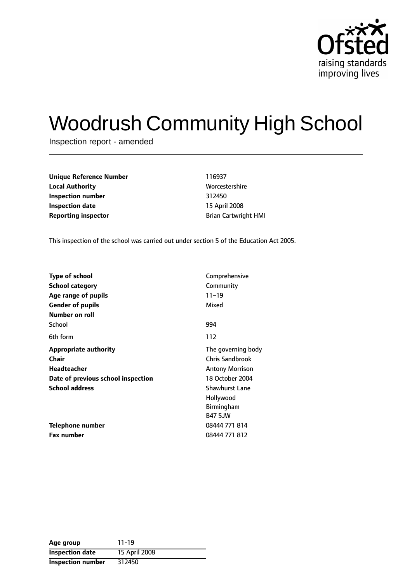

# Woodrush Community High School

Inspection report - amended

| <b>Unique Reference Number</b> | 116937                      |  |  |
|--------------------------------|-----------------------------|--|--|
| <b>Local Authority</b>         | Worcestershire              |  |  |
| Inspection number              | 312450                      |  |  |
| Inspection date                | 15 April 2008               |  |  |
| <b>Reporting inspector</b>     | <b>Brian Cartwright HMI</b> |  |  |

This inspection of the school was carried out under section 5 of the Education Act 2005.

| <b>Type of school</b>              | Comprehensive          |
|------------------------------------|------------------------|
|                                    |                        |
| School category                    | Community              |
| Age range of pupils                | $11 - 19$              |
| <b>Gender of pupils</b>            | Mixed                  |
| Number on roll                     |                        |
| School                             | 994                    |
| 6th form                           | 112                    |
| <b>Appropriate authority</b>       | The governing body     |
| Chair                              | <b>Chris Sandbrook</b> |
| Headteacher                        | <b>Antony Morrison</b> |
| Date of previous school inspection | 18 October 2004        |
| <b>School address</b>              | <b>Shawhurst Lane</b>  |
|                                    | Hollywood              |
|                                    | <b>Birmingham</b>      |
|                                    | <b>B47 5JW</b>         |
| Telephone number                   | 08444 771 814          |
| Fax number                         | 08444 771 812          |

| Age group                | $11 - 19$     |
|--------------------------|---------------|
| <b>Inspection date</b>   | 15 April 2008 |
| <b>Inspection number</b> | 312450        |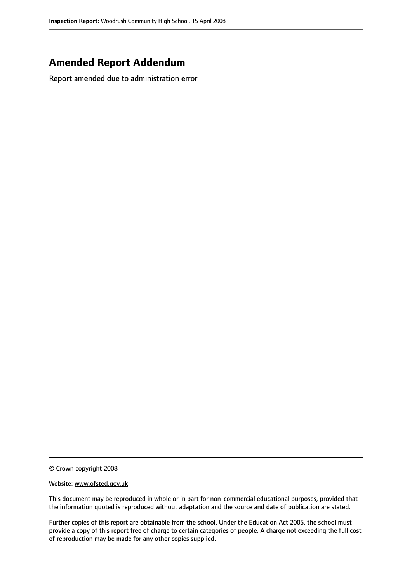# **Amended Report Addendum**

Report amended due to administration error

© Crown copyright 2008

Website: www.ofsted.gov.uk

This document may be reproduced in whole or in part for non-commercial educational purposes, provided that the information quoted is reproduced without adaptation and the source and date of publication are stated.

Further copies of this report are obtainable from the school. Under the Education Act 2005, the school must provide a copy of this report free of charge to certain categories of people. A charge not exceeding the full cost of reproduction may be made for any other copies supplied.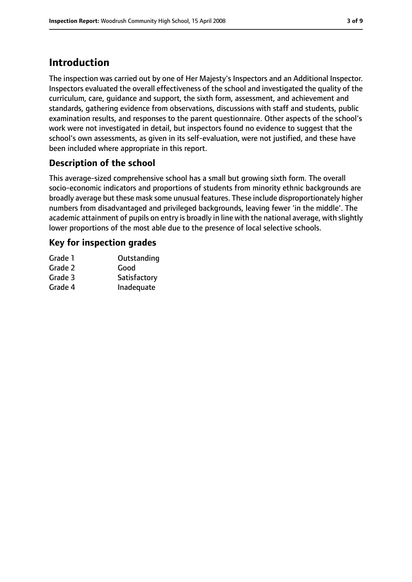# **Introduction**

The inspection was carried out by one of Her Majesty's Inspectors and an Additional Inspector. Inspectors evaluated the overall effectiveness of the school and investigated the quality of the curriculum, care, guidance and support, the sixth form, assessment, and achievement and standards, gathering evidence from observations, discussions with staff and students, public examination results, and responses to the parent questionnaire. Other aspects of the school's work were not investigated in detail, but inspectors found no evidence to suggest that the school's own assessments, as given in its self-evaluation, were not justified, and these have been included where appropriate in this report.

# **Description of the school**

This average-sized comprehensive school has a small but growing sixth form. The overall socio-economic indicators and proportions of students from minority ethnic backgrounds are broadly average but these mask some unusual features. These include disproportionately higher numbers from disadvantaged and privileged backgrounds, leaving fewer 'in the middle'. The academic attainment of pupils on entry is broadly in line with the national average, with slightly lower proportions of the most able due to the presence of local selective schools.

## **Key for inspection grades**

| Grade 1 | Outstanding  |
|---------|--------------|
| Grade 2 | Good         |
| Grade 3 | Satisfactory |
| Grade 4 | Inadequate   |
|         |              |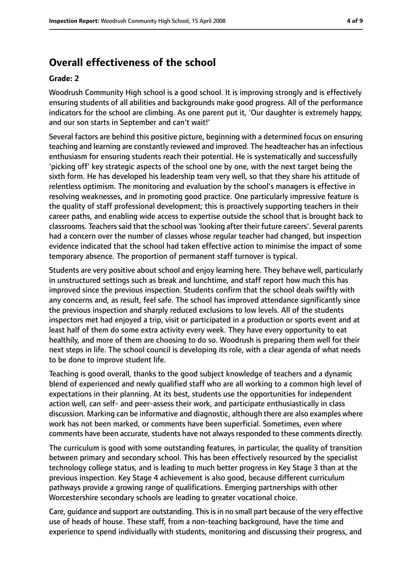# **Overall effectiveness of the school**

#### **Grade: 2**

Woodrush Community High school is a good school. It is improving strongly and is effectively ensuring students of all abilities and backgrounds make good progress. All of the performance indicators for the school are climbing. As one parent put it, 'Our daughter is extremely happy, and our son starts in September and can't wait!'

Several factors are behind this positive picture, beginning with a determined focus on ensuring teaching and learning are constantly reviewed and improved. The headteacher has an infectious enthusiasm for ensuring students reach their potential. He is systematically and successfully 'picking off' key strategic aspects of the school one by one, with the next target being the sixth form. He has developed his leadership team very well, so that they share his attitude of relentless optimism. The monitoring and evaluation by the school's managers is effective in resolving weaknesses, and in promoting good practice. One particularly impressive feature is the quality of staff professional development; this is proactively supporting teachers in their career paths, and enabling wide access to expertise outside the school that is brought back to classrooms. Teachers said that the school was 'looking after their future careers'. Several parents had a concern over the number of classes whose regular teacher had changed, but inspection evidence indicated that the school had taken effective action to minimise the impact of some temporary absence. The proportion of permanent staff turnover is typical.

Students are very positive about school and enjoy learning here. They behave well, particularly in unstructured settings such as break and lunchtime, and staff report how much this has improved since the previous inspection. Students confirm that the school deals swiftly with any concerns and, as result, feel safe. The school has improved attendance significantly since the previous inspection and sharply reduced exclusions to low levels. All of the students inspectors met had enjoyed a trip, visit or participated in a production or sports event and at least half of them do some extra activity every week. They have every opportunity to eat healthily, and more of them are choosing to do so. Woodrush is preparing them well for their next steps in life. The school council is developing its role, with a clear agenda of what needs to be done to improve student life.

Teaching is good overall, thanks to the good subject knowledge of teachers and a dynamic blend of experienced and newly qualified staff who are all working to a common high level of expectations in their planning. At its best, students use the opportunities for independent action well, can self- and peer-assess their work, and participate enthusiastically in class discussion. Marking can be informative and diagnostic, although there are also examples where work has not been marked, or comments have been superficial. Sometimes, even where comments have been accurate, students have not always responded to these comments directly.

The curriculum is good with some outstanding features, in particular, the quality of transition between primary and secondary school. This has been effectively resourced by the specialist technology college status, and is leading to much better progress in Key Stage 3 than at the previous inspection. Key Stage 4 achievement is also good, because different curriculum pathways provide a growing range of qualifications. Emerging partnerships with other Worcestershire secondary schools are leading to greater vocational choice.

Care, guidance and support are outstanding. Thisisin no small part because of the very effective use of heads of house. These staff, from a non-teaching background, have the time and experience to spend individually with students, monitoring and discussing their progress, and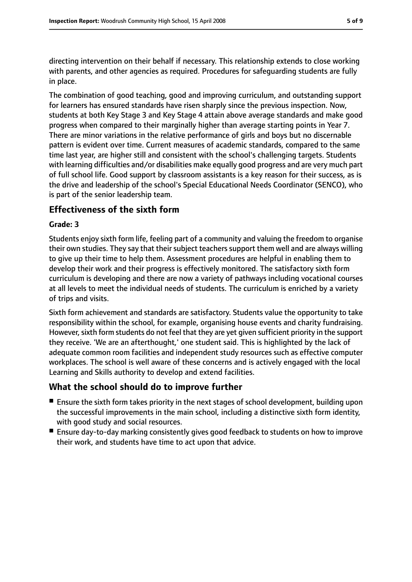directing intervention on their behalf if necessary. This relationship extends to close working with parents, and other agencies as required. Procedures for safeguarding students are fully in place.

The combination of good teaching, good and improving curriculum, and outstanding support for learners has ensured standards have risen sharply since the previous inspection. Now, students at both Key Stage 3 and Key Stage 4 attain above average standards and make good progress when compared to their marginally higher than average starting points in Year 7. There are minor variations in the relative performance of girls and boys but no discernable pattern is evident over time. Current measures of academic standards, compared to the same time last year, are higher still and consistent with the school's challenging targets. Students with learning difficulties and/or disabilities make equally good progress and are very much part of full school life. Good support by classroom assistants is a key reason for their success, as is the drive and leadership of the school's Special Educational Needs Coordinator (SENCO), who is part of the senior leadership team.

#### **Effectiveness of the sixth form**

#### **Grade: 3**

Students enjoy sixth form life, feeling part of a community and valuing the freedom to organise their own studies. They say that their subject teachers support them well and are always willing to give up their time to help them. Assessment procedures are helpful in enabling them to develop their work and their progress is effectively monitored. The satisfactory sixth form curriculum is developing and there are now a variety of pathways including vocational courses at all levels to meet the individual needs of students. The curriculum is enriched by a variety of trips and visits.

Sixth form achievement and standards are satisfactory. Students value the opportunity to take responsibility within the school, for example, organising house events and charity fundraising. However, sixth form students do not feel that they are yet given sufficient priority in the support they receive. 'We are an afterthought,' one student said. This is highlighted by the lack of adequate common room facilities and independent study resources such as effective computer workplaces. The school is well aware of these concerns and is actively engaged with the local Learning and Skills authority to develop and extend facilities.

#### **What the school should do to improve further**

- Ensure the sixth form takes priority in the next stages of school development, building upon the successful improvements in the main school, including a distinctive sixth form identity, with good study and social resources.
- Ensure day-to-day marking consistently gives good feedback to students on how to improve their work, and students have time to act upon that advice.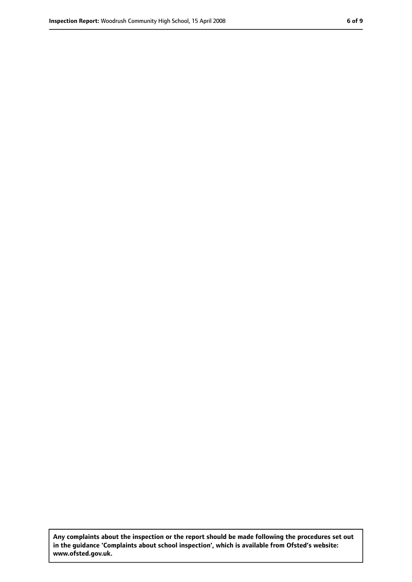**Any complaints about the inspection or the report should be made following the procedures set out in the guidance 'Complaints about school inspection', which is available from Ofsted's website: www.ofsted.gov.uk.**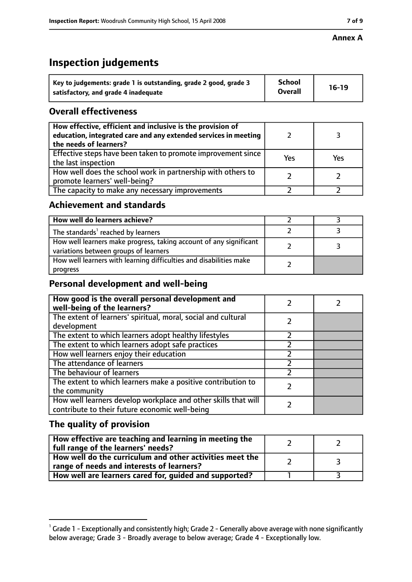#### **Annex A**

# **Inspection judgements**

| Key to judgements: grade 1 is outstanding, grade 2 good, grade 3 | <b>School</b><br><b>Overall</b> | $16-19$ |
|------------------------------------------------------------------|---------------------------------|---------|
| satisfactory, and grade 4 inadequate                             |                                 |         |

## **Overall effectiveness**

| How effective, efficient and inclusive is the provision of<br>education, integrated care and any extended services in meeting<br>the needs of learners? |     |     |
|---------------------------------------------------------------------------------------------------------------------------------------------------------|-----|-----|
| Effective steps have been taken to promote improvement since<br>the last inspection                                                                     | Yes | Yes |
| How well does the school work in partnership with others to<br>promote learners' well-being?                                                            |     |     |
| The capacity to make any necessary improvements                                                                                                         |     |     |

### **Achievement and standards**

| How well do learners achieve?                                                                               |  |
|-------------------------------------------------------------------------------------------------------------|--|
| The standards <sup>1</sup> reached by learners                                                              |  |
| How well learners make progress, taking account of any significant<br>variations between groups of learners |  |
| How well learners with learning difficulties and disabilities make<br>progress                              |  |

## **Personal development and well-being**

| How good is the overall personal development and<br>well-being of the learners?                                  |  |
|------------------------------------------------------------------------------------------------------------------|--|
| The extent of learners' spiritual, moral, social and cultural                                                    |  |
| development                                                                                                      |  |
| The extent to which learners adopt healthy lifestyles                                                            |  |
| The extent to which learners adopt safe practices                                                                |  |
| How well learners enjoy their education                                                                          |  |
| The attendance of learners                                                                                       |  |
| The behaviour of learners                                                                                        |  |
| The extent to which learners make a positive contribution to<br>the community                                    |  |
| How well learners develop workplace and other skills that will<br>contribute to their future economic well-being |  |

# **The quality of provision**

| How effective are teaching and learning in meeting the<br>full range of the learners' needs?          |    |
|-------------------------------------------------------------------------------------------------------|----|
| How well do the curriculum and other activities meet the<br>range of needs and interests of learners? | ્ર |
| How well are learners cared for, guided and supported?                                                |    |

 $^1$  Grade 1 - Exceptionally and consistently high; Grade 2 - Generally above average with none significantly below average; Grade 3 - Broadly average to below average; Grade 4 - Exceptionally low.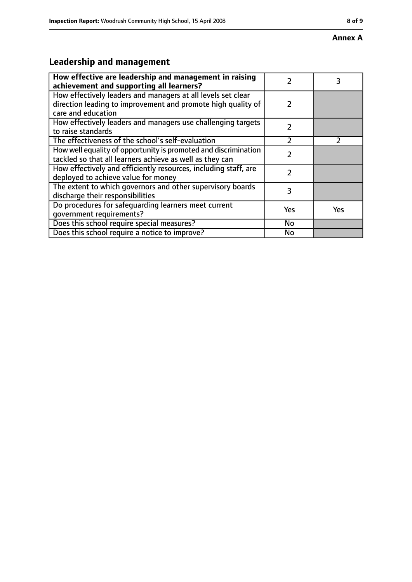#### **Annex A**

# **Leadership and management**

| How effective are leadership and management in raising<br>achievement and supporting all learners?                                                 | 2             |     |
|----------------------------------------------------------------------------------------------------------------------------------------------------|---------------|-----|
| How effectively leaders and managers at all levels set clear<br>direction leading to improvement and promote high quality of<br>care and education | $\mathcal{P}$ |     |
| How effectively leaders and managers use challenging targets<br>to raise standards                                                                 | $\mathcal{P}$ |     |
| The effectiveness of the school's self-evaluation                                                                                                  | フ             |     |
| How well equality of opportunity is promoted and discrimination<br>tackled so that all learners achieve as well as they can                        | 7             |     |
| How effectively and efficiently resources, including staff, are<br>deployed to achieve value for money                                             | 2             |     |
| The extent to which governors and other supervisory boards<br>discharge their responsibilities                                                     | 3             |     |
| Do procedures for safeguarding learners meet current<br>qovernment requirements?                                                                   | Yes           | Yes |
| Does this school require special measures?                                                                                                         | No            |     |
| Does this school require a notice to improve?                                                                                                      | <b>No</b>     |     |